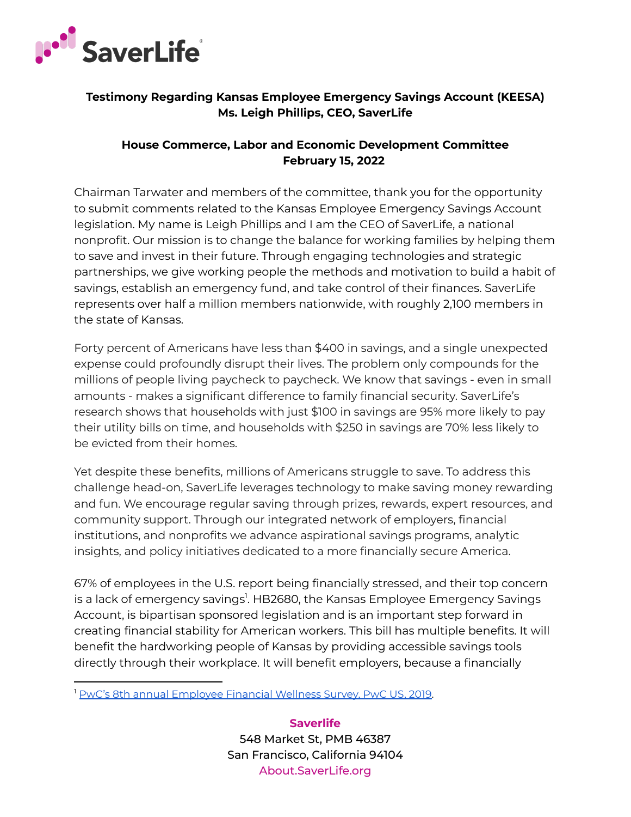

## **Testimony Regarding Kansas Employee Emergency Savings Account (KEESA) Ms. Leigh Phillips, CEO, SaverLife**

## **House Commerce, Labor and Economic Development Committee February 15, 2022**

Chairman Tarwater and members of the committee, thank you for the opportunity to submit comments related to the Kansas Employee Emergency Savings Account legislation. My name is Leigh Phillips and I am the CEO of SaverLife, a national nonprofit. Our mission is to change the balance for working families by helping them to save and invest in their future. Through engaging technologies and strategic partnerships, we give working people the methods and motivation to build a habit of savings, establish an emergency fund, and take control of their finances. SaverLife represents over half a million members nationwide, with roughly 2,100 members in the state of Kansas.

Forty percent of Americans have less than \$400 in savings, and a single unexpected expense could profoundly disrupt their lives. The problem only compounds for the millions of people living paycheck to paycheck. We know that savings - even in small amounts - makes a significant difference to family financial security. SaverLife's research shows that households with just \$100 in savings are 95% more likely to pay their utility bills on time, and households with \$250 in savings are 70% less likely to be evicted from their homes.

Yet despite these benefits, millions of Americans struggle to save. To address this challenge head-on, SaverLife leverages technology to make saving money rewarding and fun. We encourage regular saving through prizes, rewards, expert resources, and community support. Through our integrated network of employers, financial institutions, and nonprofits we advance aspirational savings programs, analytic insights, and policy initiatives dedicated to a more financially secure America.

67% of employees in the U.S. report being financially stressed, and their top concern is a lack of emergency savings<sup>1</sup>. HB2680, the Kansas Employee Emergency Savings Account, is bipartisan sponsored legislation and is an important step forward in creating financial stability for American workers. This bill has multiple benefits. It will benefit the hardworking people of Kansas by providing accessible savings tools directly through their workplace. It will benefit employers, because a financially

**Saverlife** 548 Market St, PMB 46387 San Francisco, California 94104 About.SaverLife.org

<sup>1</sup> PwC's 8th annual [Employee](https://www.pwc.com/us/en/industries/private-company-services/images/pwc-8th-annual-employee-financial-wellness-survey-2019-results.pdf) Financial Wellness Survey, PwC US, 2019.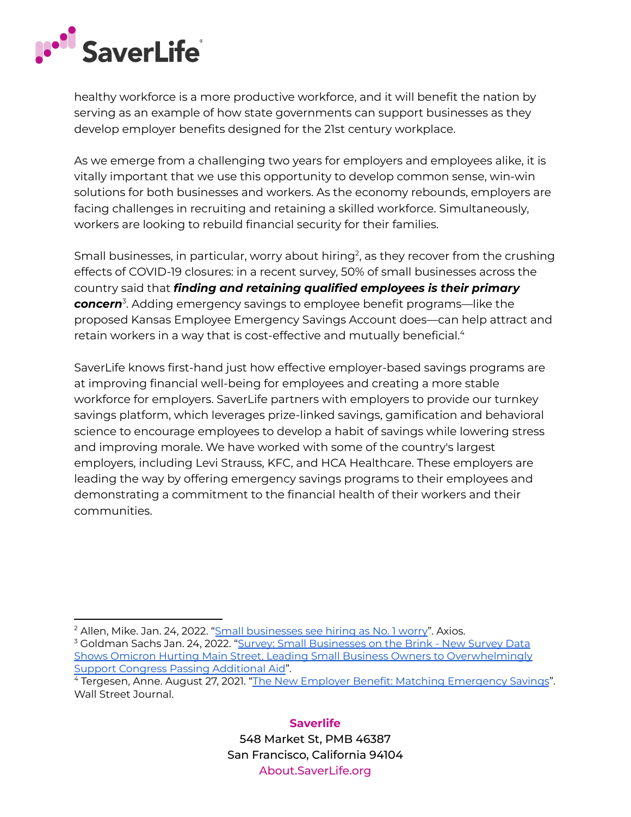

healthy workforce is a more productive workforce, and it will benefit the nation by serving as an example of how state governments can support businesses as they develop employer benefits designed for the 21st century workplace.

As we emerge from a challenging two years for employers and employees alike, it is vitally important that we use this opportunity to develop common sense, win-win solutions for both businesses and workers. As the economy rebounds, employers are facing challenges in recruiting and retaining a skilled workforce. Simultaneously, workers are looking to rebuild financial security for their families.

Small businesses, in particular, worry about hiring<sup>2</sup>, as they recover from the crushing effects of COVID-19 closures: in a recent survey, 50% of small businesses across the country said that *finding and retaining qualified employees is their primary concern* 3 . Adding emergency savings to employee benefit programs—like the proposed Kansas Employee Emergency Savings Account does—can help attract and retain workers in a way that is cost-effective and mutually beneficial. 4

SaverLife knows first-hand just how effective employer-based savings programs are at improving financial well-being for employees and creating a more stable workforce for employers. SaverLife partners with employers to provide our turnkey savings platform, which leverages prize-linked savings, gamification and behavioral science to encourage employees to develop a habit of savings while lowering stress and improving morale. We have worked with some of the country's largest employers, including Levi Strauss, KFC, and HCA Healthcare. These employers are leading the way by offering emergency savings programs to their employees and demonstrating a commitment to the financial health of their workers and their communities.

**Saverlife** 548 Market St, PMB 46387 San Francisco, California 94104 About.SaverLife.org

<sup>&</sup>lt;sup>2</sup> Allen, Mike. Jan. 24, 2022. "Small [businesses](https://www.axios.com/small-businesses-hiring-goldman-sachs-3f8861d9-2840-410b-bcdd-022369aebb29.html) see hiring as No. 1 worry". Axios.

<sup>&</sup>lt;sup>3</sup> Goldman Sachs Jan. 24, 2022. "Survey: Small [Businesses](https://www.goldmansachs.com/citizenship/10000-small-businesses/US/infographics/small-businesses-on-the-brink/index.html) on the Brink - New Survey Data Shows Omicron Hurting Main Street, Leading Small Business Owners to [Overwhelmingly](https://www.goldmansachs.com/citizenship/10000-small-businesses/US/infographics/small-businesses-on-the-brink/index.html) Support Congress Passing [Additional](https://www.goldmansachs.com/citizenship/10000-small-businesses/US/infographics/small-businesses-on-the-brink/index.html) Aid".

<sup>4</sup> Tergesen, Anne. August 27, 2021. "The New Employer Benefit: Matching [Emergency](https://www.wsj.com/articles/the-new-employer-benefit-matching-emergency-savings-11630065600) Savings". Wall Street Journal.